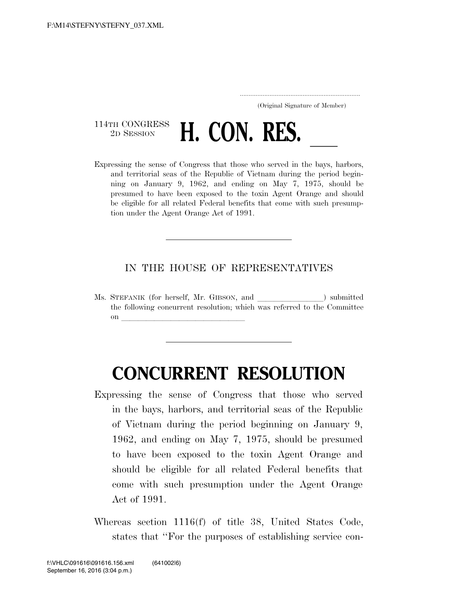..................................................................... (Original Signature of Member)

114TH CONGRESS<br>2D SESSION <sup>114TH CONGRESS</sup> **H. CON. RES.** <u>Lexpressing the sense of Congress that those who served in the bays, harbors,</u>

and territorial seas of the Republic of Vietnam during the period beginning on January 9, 1962, and ending on May 7, 1975, should be presumed to have been exposed to the toxin Agent Orange and should be eligible for all related Federal benefits that come with such presumption under the Agent Orange Act of 1991.

## IN THE HOUSE OF REPRESENTATIVES

Ms. STEFANIK (for herself, Mr. GIBSON, and ) submitted the following concurrent resolution; which was referred to the Committee on **later and later and later and later and later and later and later and later and later and later and later**  $\sim$ 

## **CONCURRENT RESOLUTION**

- Expressing the sense of Congress that those who served in the bays, harbors, and territorial seas of the Republic of Vietnam during the period beginning on January 9, 1962, and ending on May 7, 1975, should be presumed to have been exposed to the toxin Agent Orange and should be eligible for all related Federal benefits that come with such presumption under the Agent Orange Act of 1991.
- Whereas section 1116(f) of title 38, United States Code, states that ''For the purposes of establishing service con-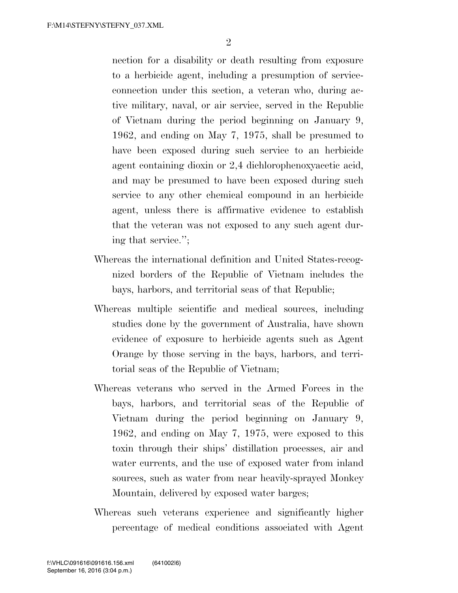nection for a disability or death resulting from exposure to a herbicide agent, including a presumption of serviceconnection under this section, a veteran who, during active military, naval, or air service, served in the Republic of Vietnam during the period beginning on January 9, 1962, and ending on May 7, 1975, shall be presumed to have been exposed during such service to an herbicide agent containing dioxin or 2,4 dichlorophenoxyacetic acid, and may be presumed to have been exposed during such service to any other chemical compound in an herbicide agent, unless there is affirmative evidence to establish that the veteran was not exposed to any such agent during that service.'';

- Whereas the international definition and United States-recognized borders of the Republic of Vietnam includes the bays, harbors, and territorial seas of that Republic;
- Whereas multiple scientific and medical sources, including studies done by the government of Australia, have shown evidence of exposure to herbicide agents such as Agent Orange by those serving in the bays, harbors, and territorial seas of the Republic of Vietnam;
- Whereas veterans who served in the Armed Forces in the bays, harbors, and territorial seas of the Republic of Vietnam during the period beginning on January 9, 1962, and ending on May 7, 1975, were exposed to this toxin through their ships' distillation processes, air and water currents, and the use of exposed water from inland sources, such as water from near heavily-sprayed Monkey Mountain, delivered by exposed water barges;
- Whereas such veterans experience and significantly higher percentage of medical conditions associated with Agent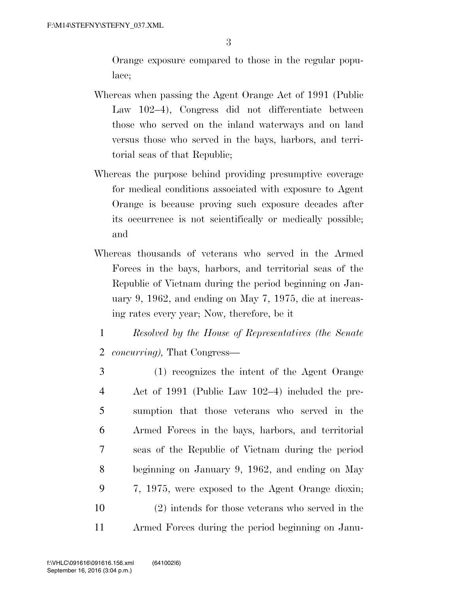Orange exposure compared to those in the regular populace;

- Whereas when passing the Agent Orange Act of 1991 (Public Law 102–4), Congress did not differentiate between those who served on the inland waterways and on land versus those who served in the bays, harbors, and territorial seas of that Republic;
- Whereas the purpose behind providing presumptive coverage for medical conditions associated with exposure to Agent Orange is because proving such exposure decades after its occurrence is not scientifically or medically possible; and
- Whereas thousands of veterans who served in the Armed Forces in the bays, harbors, and territorial seas of the Republic of Vietnam during the period beginning on January 9, 1962, and ending on May 7, 1975, die at increasing rates every year; Now, therefore, be it
	- 1 *Resolved by the House of Representatives (the Senate*  2 *concurring),* That Congress—
- 3 (1) recognizes the intent of the Agent Orange 4 Act of 1991 (Public Law 102–4) included the pre-5 sumption that those veterans who served in the 6 Armed Forces in the bays, harbors, and territorial 7 seas of the Republic of Vietnam during the period 8 beginning on January 9, 1962, and ending on May 9 7, 1975, were exposed to the Agent Orange dioxin; 10 (2) intends for those veterans who served in the 11 Armed Forces during the period beginning on Janu-